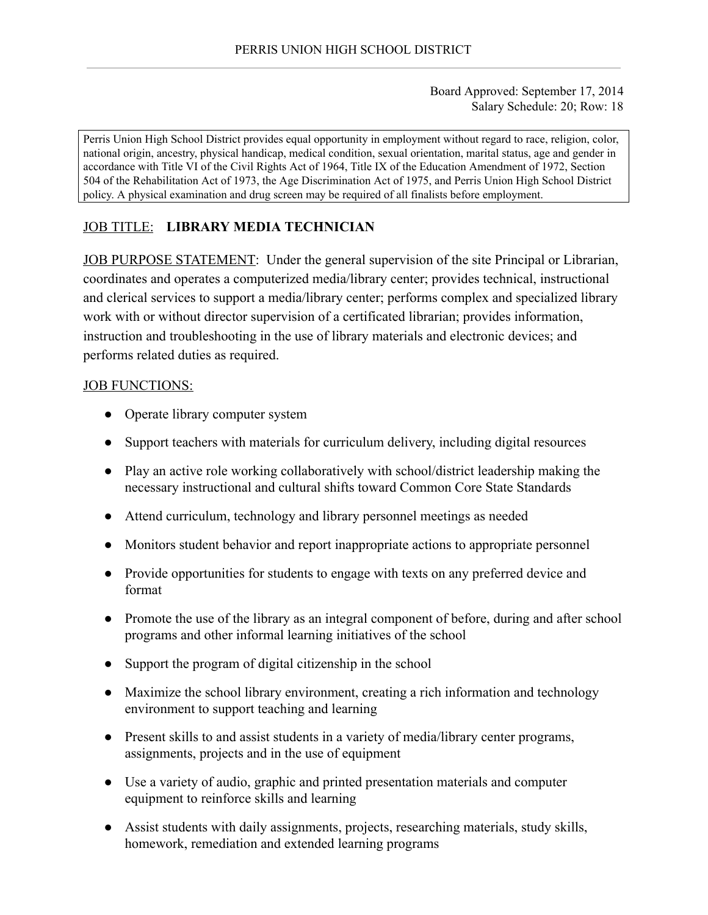Board Approved: September 17, 2014 Salary Schedule: 20; Row: 18

Perris Union High School District provides equal opportunity in employment without regard to race, religion, color, national origin, ancestry, physical handicap, medical condition, sexual orientation, marital status, age and gender in accordance with Title VI of the Civil Rights Act of 1964, Title IX of the Education Amendment of 1972, Section 504 of the Rehabilitation Act of 1973, the Age Discrimination Act of 1975, and Perris Union High School District policy. A physical examination and drug screen may be required of all finalists before employment.

# JOB TITLE: **LIBRARY MEDIA TECHNICIAN**

JOB PURPOSE STATEMENT: Under the general supervision of the site Principal or Librarian, coordinates and operates a computerized media/library center; provides technical, instructional and clerical services to support a media/library center; performs complex and specialized library work with or without director supervision of a certificated librarian; provides information, instruction and troubleshooting in the use of library materials and electronic devices; and performs related duties as required.

### JOB FUNCTIONS:

- Operate library computer system
- Support teachers with materials for curriculum delivery, including digital resources
- Play an active role working collaboratively with school/district leadership making the necessary instructional and cultural shifts toward Common Core State Standards
- Attend curriculum, technology and library personnel meetings as needed
- Monitors student behavior and report inappropriate actions to appropriate personnel
- Provide opportunities for students to engage with texts on any preferred device and format
- Promote the use of the library as an integral component of before, during and after school programs and other informal learning initiatives of the school
- Support the program of digital citizenship in the school
- Maximize the school library environment, creating a rich information and technology environment to support teaching and learning
- Present skills to and assist students in a variety of media/library center programs, assignments, projects and in the use of equipment
- Use a variety of audio, graphic and printed presentation materials and computer equipment to reinforce skills and learning
- Assist students with daily assignments, projects, researching materials, study skills, homework, remediation and extended learning programs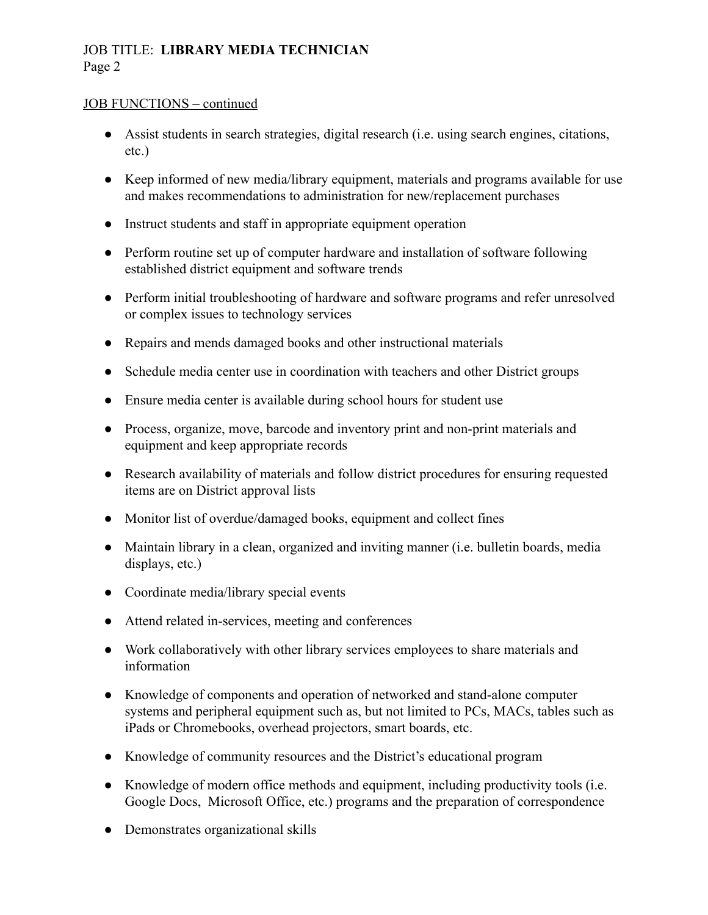### JOB TITLE: **LIBRARY MEDIA TECHNICIAN** Page 2

### JOB FUNCTIONS – continued

- Assist students in search strategies, digital research (i.e. using search engines, citations, etc.)
- Keep informed of new media/library equipment, materials and programs available for use and makes recommendations to administration for new/replacement purchases
- Instruct students and staff in appropriate equipment operation
- Perform routine set up of computer hardware and installation of software following established district equipment and software trends
- Perform initial troubleshooting of hardware and software programs and refer unresolved or complex issues to technology services
- Repairs and mends damaged books and other instructional materials
- Schedule media center use in coordination with teachers and other District groups
- Ensure media center is available during school hours for student use
- Process, organize, move, barcode and inventory print and non-print materials and equipment and keep appropriate records
- Research availability of materials and follow district procedures for ensuring requested items are on District approval lists
- Monitor list of overdue/damaged books, equipment and collect fines
- Maintain library in a clean, organized and inviting manner (i.e. bulletin boards, media displays, etc.)
- Coordinate media/library special events
- Attend related in-services, meeting and conferences
- Work collaboratively with other library services employees to share materials and information
- Knowledge of components and operation of networked and stand-alone computer systems and peripheral equipment such as, but not limited to PCs, MACs, tables such as iPads or Chromebooks, overhead projectors, smart boards, etc.
- Knowledge of community resources and the District's educational program
- Knowledge of modern office methods and equipment, including productivity tools (i.e. Google Docs, Microsoft Office, etc.) programs and the preparation of correspondence
- Demonstrates organizational skills